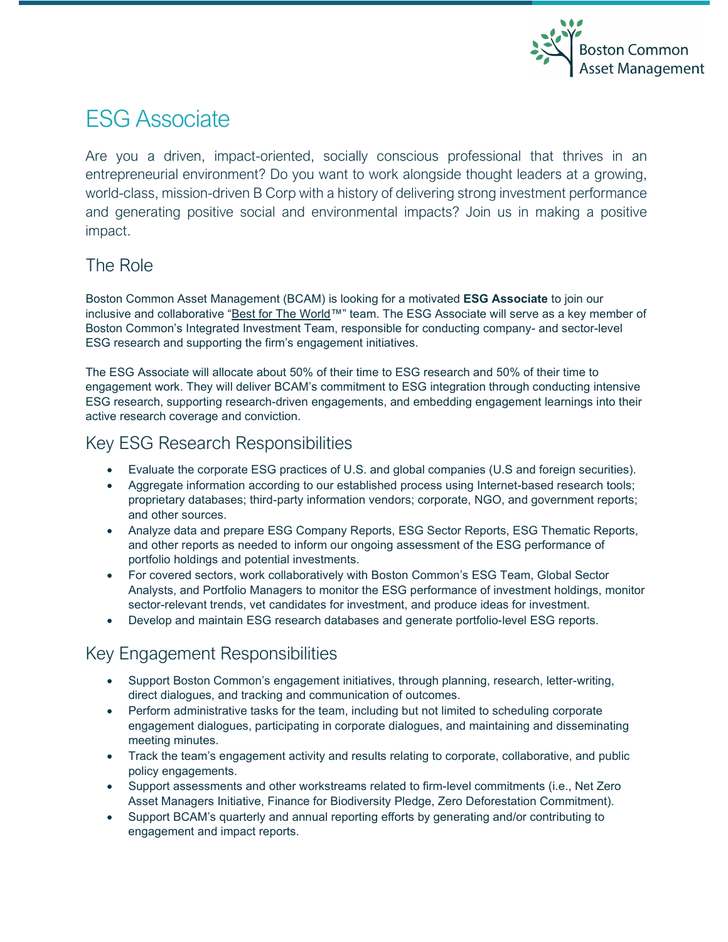

# ESG Associate

Are you a driven, impact-oriented, socially conscious professional that thrives in an entrepreneurial environment? Do you want to work alongside thought leaders at a growing, world-class, mission-driven B Corp with a history of delivering strong investment performance and generating positive social and environmental impacts? Join us in making a positive impact.

#### The Role

Boston Common Asset Management (BCAM) is looking for a motivated **ESG Associate** to join our inclusive and collaborative ["Best for The World™](https://bcorporation.net/best-for-the-world-2021)" team. The ESG Associate will serve as a key member of Boston Common's Integrated Investment Team, responsible for conducting company- and sector-level ESG research and supporting the firm's engagement initiatives.

The ESG Associate will allocate about 50% of their time to ESG research and 50% of their time to engagement work. They will deliver BCAM's commitment to ESG integration through conducting intensive ESG research, supporting research-driven engagements, and embedding engagement learnings into their active research coverage and conviction.

#### Key ESG Research Responsibilities

- Evaluate the corporate ESG practices of U.S. and global companies (U.S and foreign securities).
- Aggregate information according to our established process using Internet-based research tools; proprietary databases; third-party information vendors; corporate, NGO, and government reports; and other sources.
- Analyze data and prepare ESG Company Reports, ESG Sector Reports, ESG Thematic Reports, and other reports as needed to inform our ongoing assessment of the ESG performance of portfolio holdings and potential investments.
- For covered sectors, work collaboratively with Boston Common's ESG Team, Global Sector Analysts, and Portfolio Managers to monitor the ESG performance of investment holdings, monitor sector-relevant trends, vet candidates for investment, and produce ideas for investment.
- Develop and maintain ESG research databases and generate portfolio-level ESG reports.

### Key Engagement Responsibilities

- Support Boston Common's engagement initiatives, through planning, research, letter-writing, direct dialogues, and tracking and communication of outcomes.
- Perform administrative tasks for the team, including but not limited to scheduling corporate engagement dialogues, participating in corporate dialogues, and maintaining and disseminating meeting minutes.
- Track the team's engagement activity and results relating to corporate, collaborative, and public policy engagements.
- Support assessments and other workstreams related to firm-level commitments (i.e., Net Zero Asset Managers Initiative, Finance for Biodiversity Pledge, Zero Deforestation Commitment).
- Support BCAM's quarterly and annual reporting efforts by generating and/or contributing to engagement and impact reports.